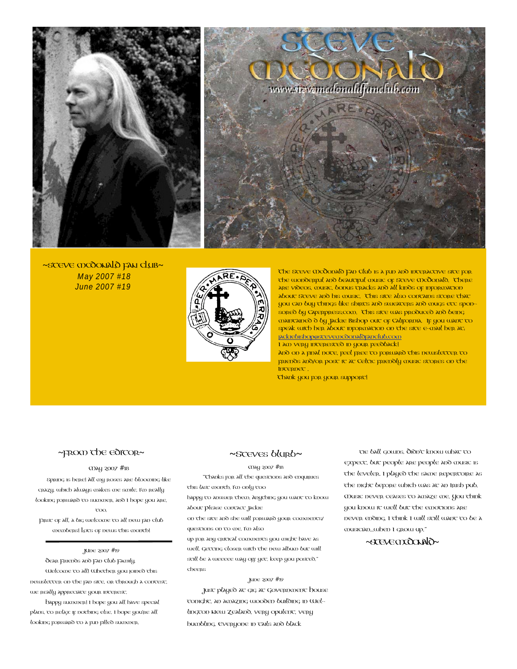

~STEVE MCOONALO FAN CLUB~ May 2007 #18 June 2007 #19



The Steve McDonald Fan Club is a fun and interactive site for the wonderful and beautiful music of Steve McDonald. There are videos, music, bonus tracks and all kinds of information about steve and his music. This site also contains stope that you can buy things like shirts and sweaters and mugs etc sponsored by Caferpress.com. This site was produced and being maintained d by Jackie Bishop out of California. If you want to speak with her about information on the site e-mail her at: [jackiebishop@stevemcdonaldfanclub.com](mailto:jackiebishop@stevemcdonaldfanclub.com)

I am very interested in your feedback! And on a final note, feel free to forward this newsletter to friends and/or post it at Celtic friendly music stores on the Internet .

Thank you for your support!

### ~FROM THE EDITOR~

### May 2007 #18

Spring is here! All my roses are blooming like crazy, which always makes me smile. I'm really looking forward to summer, and I hope you are, too.

First of all, a big welcome to all new fan club members! Lots of news this month!

#### JUne 2007 #19

Dear Friends and Fan Club Family, Welcome to all! Whether you joined this newsletter on the fan site, or through a contest, we really appreciate your interest.

Happy summer! I hope you all have special plans, to relax if nothing else. I hope you're all looking forward to a fun filled summer.

### ~Steves blurb~

### May 2007 #18

"Thanks for all the questions and enquiries this last month, I'm only too

happy to answer them. Anything you want to know about Please contact Jackie

on the site and she will forward your comments/ questions on to me. I'm also

up for any critical comments you might have as well. Gecang closer with the new album but will still be a weeeee way off yet. keep you posted." cheers

### June 2007 #19

Just played at gig at Government House tonight, an amazing wooden building in Wellington New Zealand, very opulent, very humbling. Everyone in tails and black

tie ball gowns. Didn't know what to expect, but people are people and music is the leveler. I played the same repertoire as the night before which was at an Irish pub. Music never ceases to amaze me. You think you know it well but the emotions are never ending. I think I will still want to be a musician...when I grow up."

### ~STEVECTOORANO~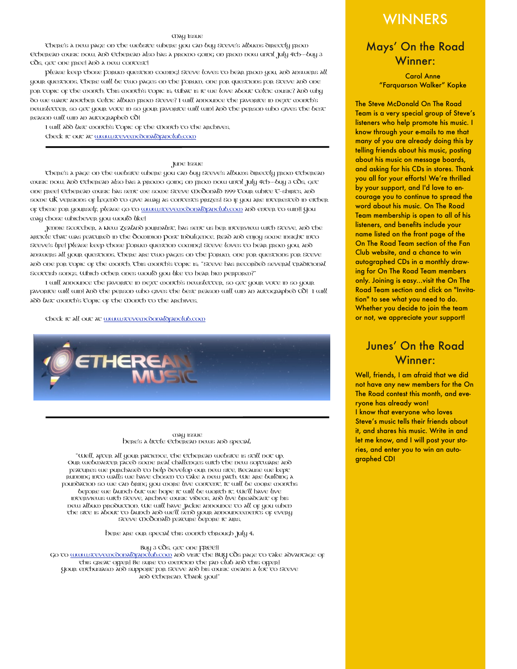### May Issue

There's a new page on the website where you can buy Steve's albums directly from Etherean music now. And Etherean also has a promo going on from now until July 4th--buy 3 CDs, get one free! And a new contest!

Please keep those Forum question coming! Steve loves to hear from you, and answers all your questions. There will be two pages on the Forum, one for questions for Steve and one for topic of the month. This month's topic is: What is it we love about Celtic music? And why do we want another Celtic album from Steve? I will announce the favorite in next month's newsletter, so get your vote in so your favorite will win! And the person who gives the best reason will win an autographed CD!

I will add last month's Topic of the Month to the archives.

Check it out at [www.stevemcdonaldfanclub.com](http://www.stevemcdonaldfanclub.com)

June Issue

There's a page on the website where you can buy Steve's albums directly from Etherean music now. And Etherean also has a promo going on from now until July 4th--buy 3 CDs, get one free! Etherean music has sent me some Steve McDonald 1999 Tour white T-shirts, and some UK versions of Legend to give away as contests prizes! So if you are interested in either of these for yourself, please go to [www.stevemcdonaldfanclub.com](http://www.stevemcdonaldfanclub.com) and enter to win!! You may chose whichever you would like!

Jennie Scotcher, a New Zealand journalist, has sent us her interview with Steve, and the article that was featured in the Dominion Post Indulgence. Read and enjoy some insight into Steve's life! Please keep those Forum question coming! Steve loves to hear from you, and answers all your questions. There are two pages on the Forum, one for questions for Steve and one for topic of the month. This month's topic is: "Steve has recorded several traditional Scottish songs. Which other ones would you like to hear him perform?"

I will announce the favorite in next month's newsletter, so get your vote in so your favorite will win! And the person who gives the best reason will win an autographed CD! I will add last month's Topic of the Month to the archives.

Check it all out at [www.stevemcdonaldfanclub.com](http://www.stevemcdonaldfanclub.com)



#### may issue Here's a little Etherean news and special:

"Well, after all your patience, the Etherean website is still not up. Our webmaster faced some real challenges with the new software and features we purchased to help develop our new site. Because we kept running into walls we have chosen to take a new path. We are building a foundation so we can bring you more live content. It will be more months before we launch but we hope it will be worth it. We'll have live interviews with Steve, archive music videos, and live broadcast of his new album production. We will have Jackie announce to all of you when the site is about to launch and we'll send your announcements of every Steve McDonald feature before it airs.

Here are our special this month through July 4:

### Buy 3 CDs, get one FREE!!

Go to [www.stevemcdonaldfanclub.com](http://www.stevemcdonaldfanclub.com) and visit the BUY CDs page to take advantage of this great offer! Be sure to mention the fan club and this offer! Your enthusiasm and support for Steve and his music means a lot to Steve and Etherean. Thank you!"

# WINNERS

## Mays' On the Road Winner:

Carol Anne "Farquarson Walker" Kopke

The Steve McDonald On The Road Team is a very special group of Steve's listeners who help promote his music. I know through your e-mails to me that many of you are already doing this by telling friends about his music, posting about his music on message boards, and asking for his CDs in stores. Thank you all for your efforts! We're thrilled by your support, and I'd love to encourage you to continue to spread the word about his music. On The Road Team membership is open to all of his listeners, and benefits include your name listed on the front page of the On The Road Team section of the Fan Club website, and a chance to win autographed CDs in a monthly drawing for On The Road Team members only. Joining is easy...visit the On The Road Team section and click on "Invitation" to see what you need to do. Whether you decide to join the team or not, we appreciate your support!

# Junes' On the Road Winner:

Well, friends, I am afraid that we did not have any new members for the On The Road contest this month, and everyone has already won!

I know that everyone who loves Steve's music tells their friends about it, and shares his music. Write in and let me know, and I will post your stories, and enter you to win an autographed CD!